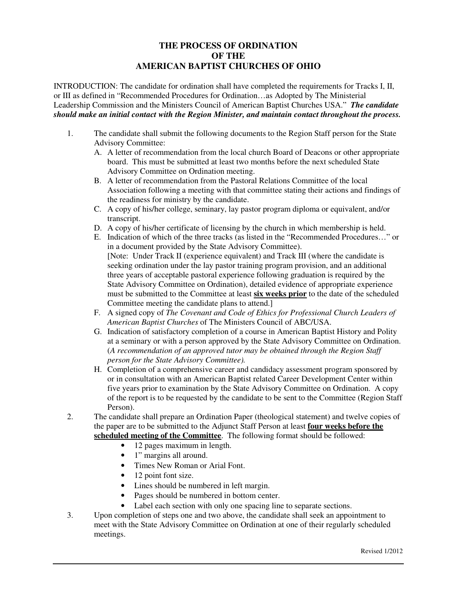## **THE PROCESS OF ORDINATION OF THE AMERICAN BAPTIST CHURCHES OF OHIO**

INTRODUCTION: The candidate for ordination shall have completed the requirements for Tracks I, II, or III as defined in "Recommended Procedures for Ordination…as Adopted by The Ministerial Leadership Commission and the Ministers Council of American Baptist Churches USA." *The candidate should make an initial contact with the Region Minister, and maintain contact throughout the process.* 

- 1. The candidate shall submit the following documents to the Region Staff person for the State Advisory Committee:
	- A. A letter of recommendation from the local church Board of Deacons or other appropriate board. This must be submitted at least two months before the next scheduled State Advisory Committee on Ordination meeting.
	- B. A letter of recommendation from the Pastoral Relations Committee of the local Association following a meeting with that committee stating their actions and findings of the readiness for ministry by the candidate.
	- C. A copy of his/her college, seminary, lay pastor program diploma or equivalent, and/or transcript.
	- D. A copy of his/her certificate of licensing by the church in which membership is held.
	- E. Indication of which of the three tracks (as listed in the "Recommended Procedures…" or in a document provided by the State Advisory Committee). [Note: Under Track II (experience equivalent) and Track III (where the candidate is seeking ordination under the lay pastor training program provision, and an additional three years of acceptable pastoral experience following graduation is required by the State Advisory Committee on Ordination), detailed evidence of appropriate experience must be submitted to the Committee at least **six weeks prior** to the date of the scheduled Committee meeting the candidate plans to attend.]
	- F. A signed copy of *The Covenant and Code of Ethics for Professional Church Leaders of American Baptist Churches* of The Ministers Council of ABC/USA.
	- G. Indication of satisfactory completion of a course in American Baptist History and Polity at a seminary or with a person approved by the State Advisory Committee on Ordination. (*A recommendation of an approved tutor may be obtained through the Region Staff person for the State Advisory Committee).*
	- H. Completion of a comprehensive career and candidacy assessment program sponsored by or in consultation with an American Baptist related Career Development Center within five years prior to examination by the State Advisory Committee on Ordination. A copy of the report is to be requested by the candidate to be sent to the Committee (Region Staff Person).
- 2. The candidate shall prepare an Ordination Paper (theological statement) and twelve copies of the paper are to be submitted to the Adjunct Staff Person at least **four weeks before the scheduled meeting of the Committee**. The following format should be followed:
	- 12 pages maximum in length.
	- 1" margins all around.
	- Times New Roman or Arial Font.
	- 12 point font size.
	- Lines should be numbered in left margin.
	- Pages should be numbered in bottom center.
	- Label each section with only one spacing line to separate sections.
- 3. Upon completion of steps one and two above, the candidate shall seek an appointment to meet with the State Advisory Committee on Ordination at one of their regularly scheduled meetings.